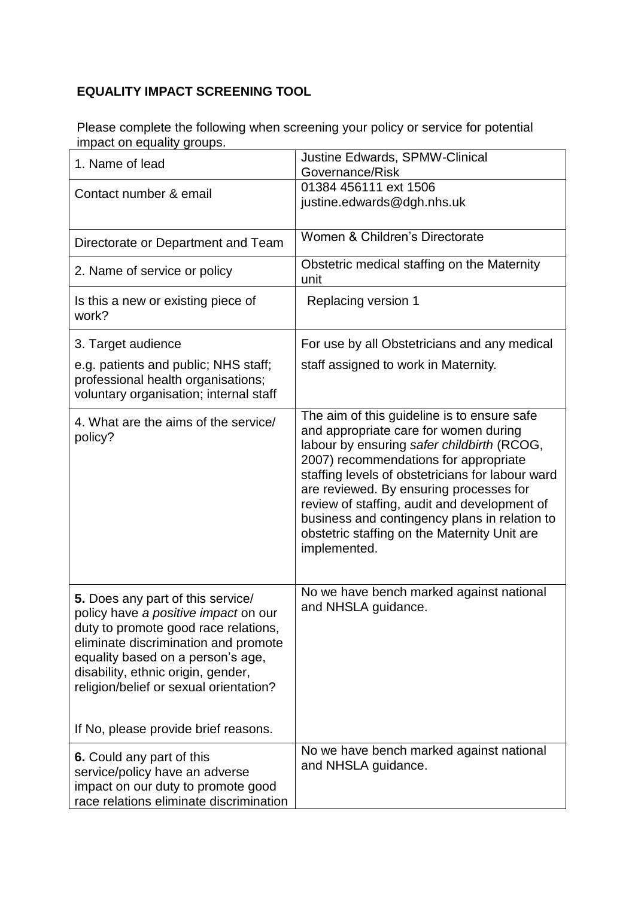## **EQUALITY IMPACT SCREENING TOOL**

Please complete the following when screening your policy or service for potential impact on equality groups.

| 1. Name of lead                                                                                                                                                                                                                                                                | <b>Justine Edwards, SPMW-Clinical</b><br>Governance/Risk                                                                                                                                                                                                                                                                                                                                                                                    |
|--------------------------------------------------------------------------------------------------------------------------------------------------------------------------------------------------------------------------------------------------------------------------------|---------------------------------------------------------------------------------------------------------------------------------------------------------------------------------------------------------------------------------------------------------------------------------------------------------------------------------------------------------------------------------------------------------------------------------------------|
| Contact number & email                                                                                                                                                                                                                                                         | 01384 456111 ext 1506<br>justine.edwards@dgh.nhs.uk                                                                                                                                                                                                                                                                                                                                                                                         |
| Directorate or Department and Team                                                                                                                                                                                                                                             | Women & Children's Directorate                                                                                                                                                                                                                                                                                                                                                                                                              |
| 2. Name of service or policy                                                                                                                                                                                                                                                   | Obstetric medical staffing on the Maternity<br>unit                                                                                                                                                                                                                                                                                                                                                                                         |
| Is this a new or existing piece of<br>work?                                                                                                                                                                                                                                    | Replacing version 1                                                                                                                                                                                                                                                                                                                                                                                                                         |
| 3. Target audience                                                                                                                                                                                                                                                             | For use by all Obstetricians and any medical                                                                                                                                                                                                                                                                                                                                                                                                |
| e.g. patients and public; NHS staff;<br>professional health organisations;<br>voluntary organisation; internal staff                                                                                                                                                           | staff assigned to work in Maternity.                                                                                                                                                                                                                                                                                                                                                                                                        |
| 4. What are the aims of the service/<br>policy?                                                                                                                                                                                                                                | The aim of this guideline is to ensure safe<br>and appropriate care for women during<br>labour by ensuring safer childbirth (RCOG,<br>2007) recommendations for appropriate<br>staffing levels of obstetricians for labour ward<br>are reviewed. By ensuring processes for<br>review of staffing, audit and development of<br>business and contingency plans in relation to<br>obstetric staffing on the Maternity Unit are<br>implemented. |
| 5. Does any part of this service/<br>policy have a positive impact on our<br>duty to promote good race relations,<br>eliminate discrimination and promote<br>equality based on a person's age,<br>disability, ethnic origin, gender,<br>religion/belief or sexual orientation? | No we have bench marked against national<br>and NHSLA guidance.                                                                                                                                                                                                                                                                                                                                                                             |
| If No, please provide brief reasons.                                                                                                                                                                                                                                           |                                                                                                                                                                                                                                                                                                                                                                                                                                             |
| 6. Could any part of this<br>service/policy have an adverse<br>impact on our duty to promote good<br>race relations eliminate discrimination                                                                                                                                   | No we have bench marked against national<br>and NHSLA guidance.                                                                                                                                                                                                                                                                                                                                                                             |